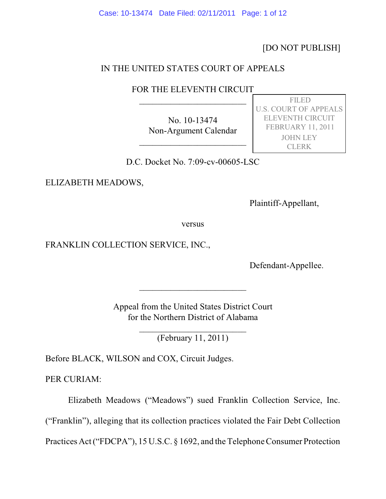Case: 10-13474 Date Filed: 02/11/2011 Page: 1 of 12

[DO NOT PUBLISH]

# IN THE UNITED STATES COURT OF APPEALS

FOR THE ELEVENTH CIRCUIT  $\overline{\phantom{a}}$ 

> No. 10-13474 Non-Argument Calendar

\_\_\_\_\_\_\_\_\_\_\_\_\_\_\_\_\_\_\_\_\_\_\_\_

 FILED U.S. COURT OF APPEALS ELEVENTH CIRCUIT FEBRUARY 11, 2011 JOHN LEY CLERK

D.C. Docket No. 7:09-cv-00605-LSC

ELIZABETH MEADOWS,

Plaintiff-Appellant,

versus

FRANKLIN COLLECTION SERVICE, INC.,

Defendant-Appellee.

Appeal from the United States District Court for the Northern District of Alabama

 $\overline{\phantom{a}}$ 

\_\_\_\_\_\_\_\_\_\_\_\_\_\_\_\_\_\_\_\_\_\_\_\_ (February 11, 2011)

Before BLACK, WILSON and COX, Circuit Judges.

PER CURIAM:

Elizabeth Meadows ("Meadows") sued Franklin Collection Service, Inc.

("Franklin"), alleging that its collection practices violated the Fair Debt Collection

Practices Act ("FDCPA"), 15 U.S.C. § 1692, and the Telephone Consumer Protection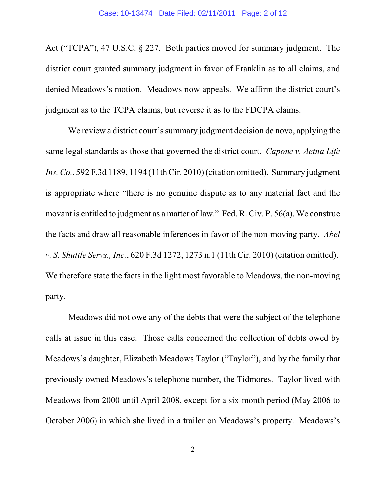Act ("TCPA"), 47 U.S.C. § 227. Both parties moved for summary judgment. The district court granted summary judgment in favor of Franklin as to all claims, and denied Meadows's motion. Meadows now appeals. We affirm the district court's judgment as to the TCPA claims, but reverse it as to the FDCPA claims.

We review a district court's summary judgment decision de novo, applying the same legal standards as those that governed the district court. *Capone v. Aetna Life Ins. Co.*, 592 F.3d 1189, 1194 (11th Cir. 2010) (citation omitted). Summary judgment is appropriate where "there is no genuine dispute as to any material fact and the movant is entitled to judgment as a matter of law." Fed. R. Civ. P. 56(a). We construe the facts and draw all reasonable inferences in favor of the non-moving party. *Abel v. S. Shuttle Servs., Inc.*, 620 F.3d 1272, 1273 n.1 (11th Cir. 2010) (citation omitted). We therefore state the facts in the light most favorable to Meadows, the non-moving party.

Meadows did not owe any of the debts that were the subject of the telephone calls at issue in this case. Those calls concerned the collection of debts owed by Meadows's daughter, Elizabeth Meadows Taylor ("Taylor"), and by the family that previously owned Meadows's telephone number, the Tidmores. Taylor lived with Meadows from 2000 until April 2008, except for a six-month period (May 2006 to October 2006) in which she lived in a trailer on Meadows's property. Meadows's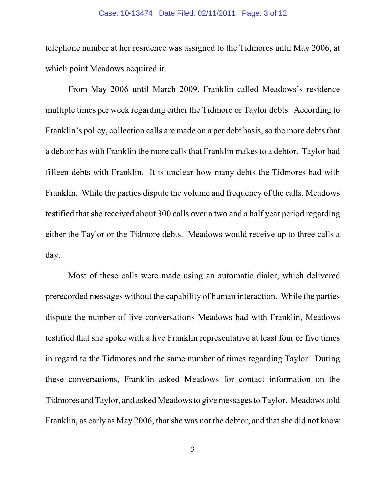## Case: 10-13474 Date Filed: 02/11/2011 Page: 3 of 12

telephone number at her residence was assigned to the Tidmores until May 2006, at which point Meadows acquired it.

From May 2006 until March 2009, Franklin called Meadows's residence multiple times per week regarding either the Tidmore or Taylor debts. According to Franklin's policy, collection calls are made on a per debt basis, so the more debts that a debtor has with Franklin the more calls that Franklin makes to a debtor. Taylor had fifteen debts with Franklin. It is unclear how many debts the Tidmores had with Franklin. While the parties dispute the volume and frequency of the calls, Meadows testified that she received about 300 calls over a two and a half year period regarding either the Taylor or the Tidmore debts. Meadows would receive up to three calls a day.

Most of these calls were made using an automatic dialer, which delivered prerecorded messages without the capability of human interaction. While the parties dispute the number of live conversations Meadows had with Franklin, Meadows testified that she spoke with a live Franklin representative at least four or five times in regard to the Tidmores and the same number of times regarding Taylor. During these conversations, Franklin asked Meadows for contact information on the Tidmores and Taylor, and asked Meadows to give messages to Taylor. Meadows told Franklin, as early as May 2006, that she was not the debtor, and that she did not know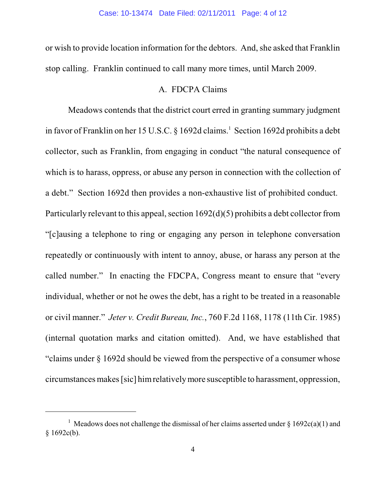or wish to provide location information for the debtors. And, she asked that Franklin stop calling. Franklin continued to call many more times, until March 2009.

## A. FDCPA Claims

Meadows contends that the district court erred in granting summary judgment in favor of Franklin on her 15 U.S.C. § 1692d claims.<sup>1</sup> Section 1692d prohibits a debt collector, such as Franklin, from engaging in conduct "the natural consequence of which is to harass, oppress, or abuse any person in connection with the collection of a debt." Section 1692d then provides a non-exhaustive list of prohibited conduct. Particularly relevant to this appeal, section 1692(d)(5) prohibits a debt collector from "[c]ausing a telephone to ring or engaging any person in telephone conversation repeatedly or continuously with intent to annoy, abuse, or harass any person at the called number." In enacting the FDCPA, Congress meant to ensure that "every individual, whether or not he owes the debt, has a right to be treated in a reasonable or civil manner." *Jeter v. Credit Bureau, Inc.*, 760 F.2d 1168, 1178 (11th Cir. 1985) (internal quotation marks and citation omitted). And, we have established that "claims under § 1692d should be viewed from the perspective of a consumer whose circumstances makes [sic] him relatively more susceptible to harassment, oppression,

<sup>&</sup>lt;sup>1</sup> Meadows does not challenge the dismissal of her claims asserted under  $\frac{1}{2}$  1692c(a)(1) and  $§ 1692c(b).$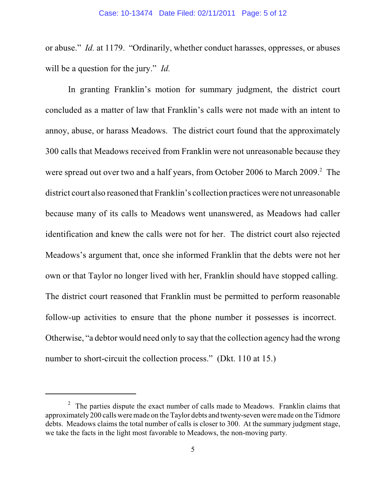or abuse." *Id.* at 1179. "Ordinarily, whether conduct harasses, oppresses, or abuses will be a question for the jury." *Id.*

In granting Franklin's motion for summary judgment, the district court concluded as a matter of law that Franklin's calls were not made with an intent to annoy, abuse, or harass Meadows. The district court found that the approximately 300 calls that Meadows received from Franklin were not unreasonable because they were spread out over two and a half years, from October 2006 to March 2009.<sup>2</sup> The district court also reasoned that Franklin's collection practices were not unreasonable because many of its calls to Meadows went unanswered, as Meadows had caller identification and knew the calls were not for her. The district court also rejected Meadows's argument that, once she informed Franklin that the debts were not her own or that Taylor no longer lived with her, Franklin should have stopped calling. The district court reasoned that Franklin must be permitted to perform reasonable follow-up activities to ensure that the phone number it possesses is incorrect. Otherwise, "a debtor would need only to say that the collection agency had the wrong number to short-circuit the collection process." (Dkt. 110 at 15.)

 $\frac{2}{3}$  The parties dispute the exact number of calls made to Meadows. Franklin claims that approximately 200 calls were made on the Taylor debts and twenty-seven were made on the Tidmore debts. Meadows claims the total number of calls is closer to 300. At the summary judgment stage, we take the facts in the light most favorable to Meadows, the non-moving party.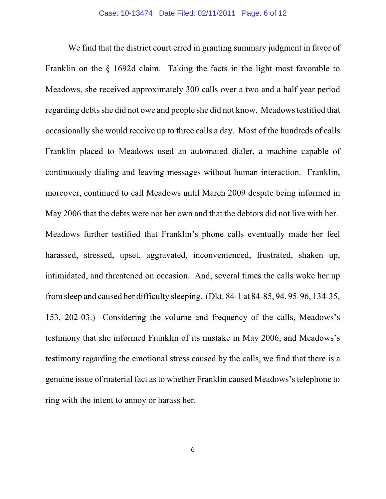We find that the district court erred in granting summary judgment in favor of Franklin on the § 1692d claim. Taking the facts in the light most favorable to Meadows, she received approximately 300 calls over a two and a half year period regarding debts she did not owe and people she did not know. Meadows testified that occasionally she would receive up to three calls a day. Most of the hundreds of calls Franklin placed to Meadows used an automated dialer, a machine capable of continuously dialing and leaving messages without human interaction. Franklin, moreover, continued to call Meadows until March 2009 despite being informed in May 2006 that the debts were not her own and that the debtors did not live with her. Meadows further testified that Franklin's phone calls eventually made her feel harassed, stressed, upset, aggravated, inconvenienced, frustrated, shaken up, intimidated, and threatened on occasion. And, several times the calls woke her up fromsleep and caused her difficulty sleeping. (Dkt. 84-1 at 84-85, 94, 95-96, 134-35, 153, 202-03.) Considering the volume and frequency of the calls, Meadows's testimony that she informed Franklin of its mistake in May 2006, and Meadows's testimony regarding the emotional stress caused by the calls, we find that there is a genuine issue of material fact as to whether Franklin caused Meadows's telephone to ring with the intent to annoy or harass her.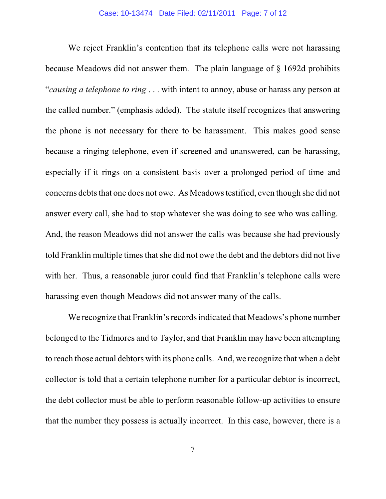We reject Franklin's contention that its telephone calls were not harassing because Meadows did not answer them. The plain language of § 1692d prohibits "*causing a telephone to ring* . . . with intent to annoy, abuse or harass any person at the called number." (emphasis added). The statute itself recognizes that answering the phone is not necessary for there to be harassment. This makes good sense because a ringing telephone, even if screened and unanswered, can be harassing, especially if it rings on a consistent basis over a prolonged period of time and concerns debts that one does not owe. As Meadows testified, even though she did not answer every call, she had to stop whatever she was doing to see who was calling. And, the reason Meadows did not answer the calls was because she had previously told Franklin multiple times that she did not owe the debt and the debtors did not live with her. Thus, a reasonable juror could find that Franklin's telephone calls were harassing even though Meadows did not answer many of the calls.

We recognize that Franklin's records indicated that Meadows's phone number belonged to the Tidmores and to Taylor, and that Franklin may have been attempting to reach those actual debtors with its phone calls. And, we recognize that when a debt collector is told that a certain telephone number for a particular debtor is incorrect, the debt collector must be able to perform reasonable follow-up activities to ensure that the number they possess is actually incorrect. In this case, however, there is a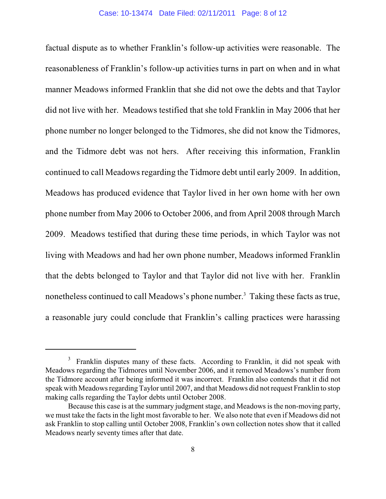factual dispute as to whether Franklin's follow-up activities were reasonable. The reasonableness of Franklin's follow-up activities turns in part on when and in what manner Meadows informed Franklin that she did not owe the debts and that Taylor did not live with her. Meadows testified that she told Franklin in May 2006 that her phone number no longer belonged to the Tidmores, she did not know the Tidmores, and the Tidmore debt was not hers. After receiving this information, Franklin continued to call Meadows regarding the Tidmore debt until early 2009. In addition, Meadows has produced evidence that Taylor lived in her own home with her own phone number from May 2006 to October 2006, and from April 2008 through March 2009. Meadows testified that during these time periods, in which Taylor was not living with Meadows and had her own phone number, Meadows informed Franklin that the debts belonged to Taylor and that Taylor did not live with her. Franklin nonetheless continued to call Meadows's phone number.<sup>3</sup> Taking these facts as true, a reasonable jury could conclude that Franklin's calling practices were harassing

 $3$  Franklin disputes many of these facts. According to Franklin, it did not speak with Meadows regarding the Tidmores until November 2006, and it removed Meadows's number from the Tidmore account after being informed it was incorrect. Franklin also contends that it did not speak with Meadows regarding Taylor until 2007, and that Meadows did not request Franklin to stop making calls regarding the Taylor debts until October 2008.

Because this case is at the summary judgment stage, and Meadows is the non-moving party, we must take the facts in the light most favorable to her. We also note that even if Meadows did not ask Franklin to stop calling until October 2008, Franklin's own collection notes show that it called Meadows nearly seventy times after that date.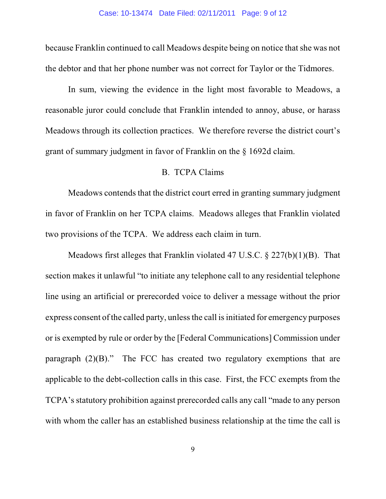because Franklin continued to call Meadows despite being on notice that she was not the debtor and that her phone number was not correct for Taylor or the Tidmores.

In sum, viewing the evidence in the light most favorable to Meadows, a reasonable juror could conclude that Franklin intended to annoy, abuse, or harass Meadows through its collection practices. We therefore reverse the district court's grant of summary judgment in favor of Franklin on the § 1692d claim.

## B. TCPA Claims

Meadows contends that the district court erred in granting summary judgment in favor of Franklin on her TCPA claims. Meadows alleges that Franklin violated two provisions of the TCPA. We address each claim in turn.

Meadows first alleges that Franklin violated 47 U.S.C. § 227(b)(1)(B). That section makes it unlawful "to initiate any telephone call to any residential telephone line using an artificial or prerecorded voice to deliver a message without the prior express consent of the called party, unless the call is initiated for emergency purposes or is exempted by rule or order by the [Federal Communications] Commission under paragraph  $(2)(B)$ ." The FCC has created two regulatory exemptions that are applicable to the debt-collection calls in this case. First, the FCC exempts from the TCPA's statutory prohibition against prerecorded calls any call "made to any person with whom the caller has an established business relationship at the time the call is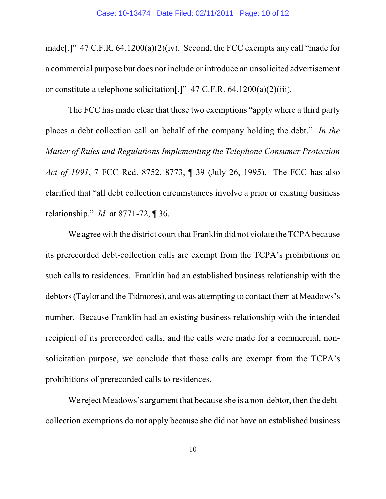made[.]"  $47$  C.F.R.  $64.1200(a)(2)(iv)$ . Second, the FCC exempts any call "made for a commercial purpose but does not include or introduce an unsolicited advertisement or constitute a telephone solicitation[.]" 47 C.F.R. 64.1200(a)(2)(iii).

The FCC has made clear that these two exemptions "apply where a third party places a debt collection call on behalf of the company holding the debt." *In the Matter of Rules and Regulations Implementing the Telephone Consumer Protection Act of 1991*, 7 FCC Rcd. 8752, 8773, ¶ 39 (July 26, 1995). The FCC has also clarified that "all debt collection circumstances involve a prior or existing business relationship." *Id.* at 8771-72, ¶ 36.

We agree with the district court that Franklin did not violate the TCPA because its prerecorded debt-collection calls are exempt from the TCPA's prohibitions on such calls to residences. Franklin had an established business relationship with the debtors (Taylor and the Tidmores), and was attempting to contact them at Meadows's number. Because Franklin had an existing business relationship with the intended recipient of its prerecorded calls, and the calls were made for a commercial, nonsolicitation purpose, we conclude that those calls are exempt from the TCPA's prohibitions of prerecorded calls to residences.

We reject Meadows's argument that because she is a non-debtor, then the debtcollection exemptions do not apply because she did not have an established business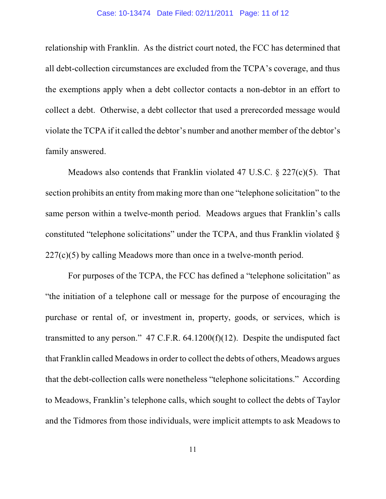### Case: 10-13474 Date Filed: 02/11/2011 Page: 11 of 12

relationship with Franklin. As the district court noted, the FCC has determined that all debt-collection circumstances are excluded from the TCPA's coverage, and thus the exemptions apply when a debt collector contacts a non-debtor in an effort to collect a debt. Otherwise, a debt collector that used a prerecorded message would violate the TCPA if it called the debtor's number and another member of the debtor's family answered.

Meadows also contends that Franklin violated 47 U.S.C. § 227(c)(5). That section prohibits an entity from making more than one "telephone solicitation" to the same person within a twelve-month period. Meadows argues that Franklin's calls constituted "telephone solicitations" under the TCPA, and thus Franklin violated § 227(c)(5) by calling Meadows more than once in a twelve-month period.

For purposes of the TCPA, the FCC has defined a "telephone solicitation" as "the initiation of a telephone call or message for the purpose of encouraging the purchase or rental of, or investment in, property, goods, or services, which is transmitted to any person."  $47$  C.F.R.  $64.1200(f)(12)$ . Despite the undisputed fact that Franklin called Meadows in order to collect the debts of others, Meadows argues that the debt-collection calls were nonetheless "telephone solicitations." According to Meadows, Franklin's telephone calls, which sought to collect the debts of Taylor and the Tidmores from those individuals, were implicit attempts to ask Meadows to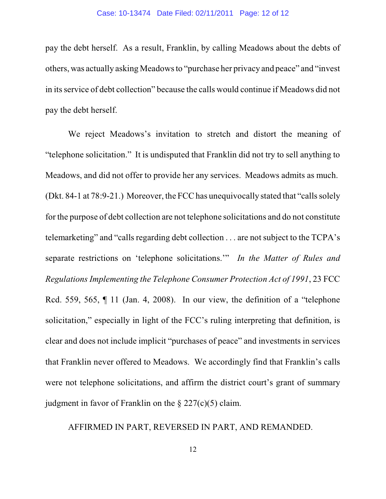pay the debt herself. As a result, Franklin, by calling Meadows about the debts of others, was actually asking Meadows to "purchase her privacy and peace" and "invest in its service of debt collection" because the calls would continue if Meadows did not pay the debt herself.

We reject Meadows's invitation to stretch and distort the meaning of "telephone solicitation." It is undisputed that Franklin did not try to sell anything to Meadows, and did not offer to provide her any services. Meadows admits as much. (Dkt. 84-1 at  $78:9-21$ .) Moreover, the FCC has unequivocally stated that "calls solely for the purpose of debt collection are not telephone solicitations and do not constitute telemarketing" and "calls regarding debt collection . . . are not subject to the TCPA's separate restrictions on 'telephone solicitations.'" *In the Matter of Rules and Regulations Implementing the Telephone Consumer Protection Act of 1991*, 23 FCC Rcd. 559, 565, ¶ 11 (Jan. 4, 2008). In our view, the definition of a "telephone" solicitation," especially in light of the FCC's ruling interpreting that definition, is clear and does not include implicit "purchases of peace" and investments in services that Franklin never offered to Meadows. We accordingly find that Franklin's calls were not telephone solicitations, and affirm the district court's grant of summary judgment in favor of Franklin on the  $\S 227(c)(5)$  claim.

# AFFIRMED IN PART, REVERSED IN PART, AND REMANDED.